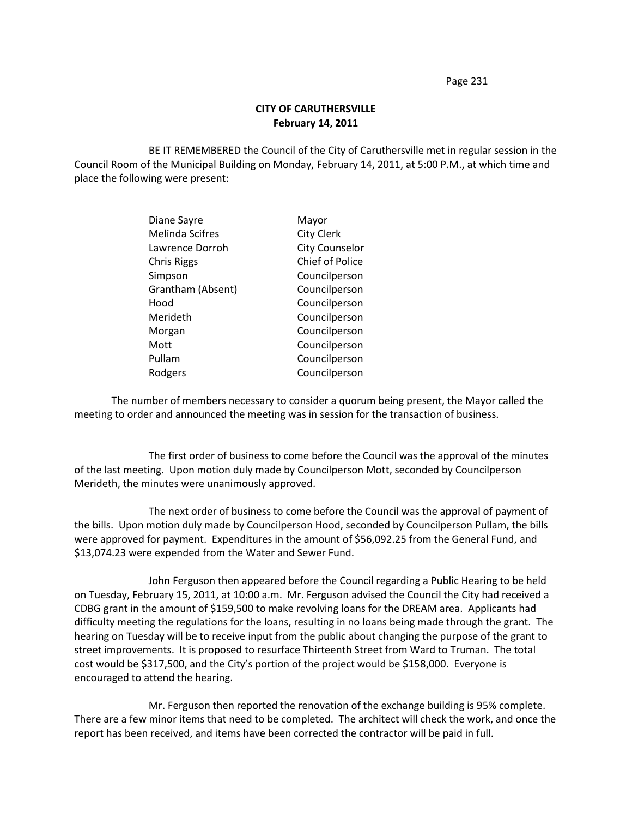Page 231

## **CITY OF CARUTHERSVILLE February 14, 2011**

BE IT REMEMBERED the Council of the City of Caruthersville met in regular session in the Council Room of the Municipal Building on Monday, February 14, 2011, at 5:00 P.M., at which time and place the following were present:

| Diane Sayre            | Mayor                 |
|------------------------|-----------------------|
| <b>Melinda Scifres</b> | <b>City Clerk</b>     |
| Lawrence Dorroh        | <b>City Counselor</b> |
| <b>Chris Riggs</b>     | Chief of Police       |
| Simpson                | Councilperson         |
| Grantham (Absent)      | Councilperson         |
| Hood                   | Councilperson         |
| Merideth               | Councilperson         |
| Morgan                 | Councilperson         |
| Mott                   | Councilperson         |
| Pullam                 | Councilperson         |
| Rodgers                | Councilperson         |
|                        |                       |

The number of members necessary to consider a quorum being present, the Mayor called the meeting to order and announced the meeting was in session for the transaction of business.

The first order of business to come before the Council was the approval of the minutes of the last meeting. Upon motion duly made by Councilperson Mott, seconded by Councilperson Merideth, the minutes were unanimously approved.

The next order of business to come before the Council was the approval of payment of the bills. Upon motion duly made by Councilperson Hood, seconded by Councilperson Pullam, the bills were approved for payment. Expenditures in the amount of \$56,092.25 from the General Fund, and \$13,074.23 were expended from the Water and Sewer Fund.

John Ferguson then appeared before the Council regarding a Public Hearing to be held on Tuesday, February 15, 2011, at 10:00 a.m. Mr. Ferguson advised the Council the City had received a CDBG grant in the amount of \$159,500 to make revolving loans for the DREAM area. Applicants had difficulty meeting the regulations for the loans, resulting in no loans being made through the grant. The hearing on Tuesday will be to receive input from the public about changing the purpose of the grant to street improvements. It is proposed to resurface Thirteenth Street from Ward to Truman. The total cost would be \$317,500, and the City's portion of the project would be \$158,000. Everyone is encouraged to attend the hearing.

Mr. Ferguson then reported the renovation of the exchange building is 95% complete. There are a few minor items that need to be completed. The architect will check the work, and once the report has been received, and items have been corrected the contractor will be paid in full.